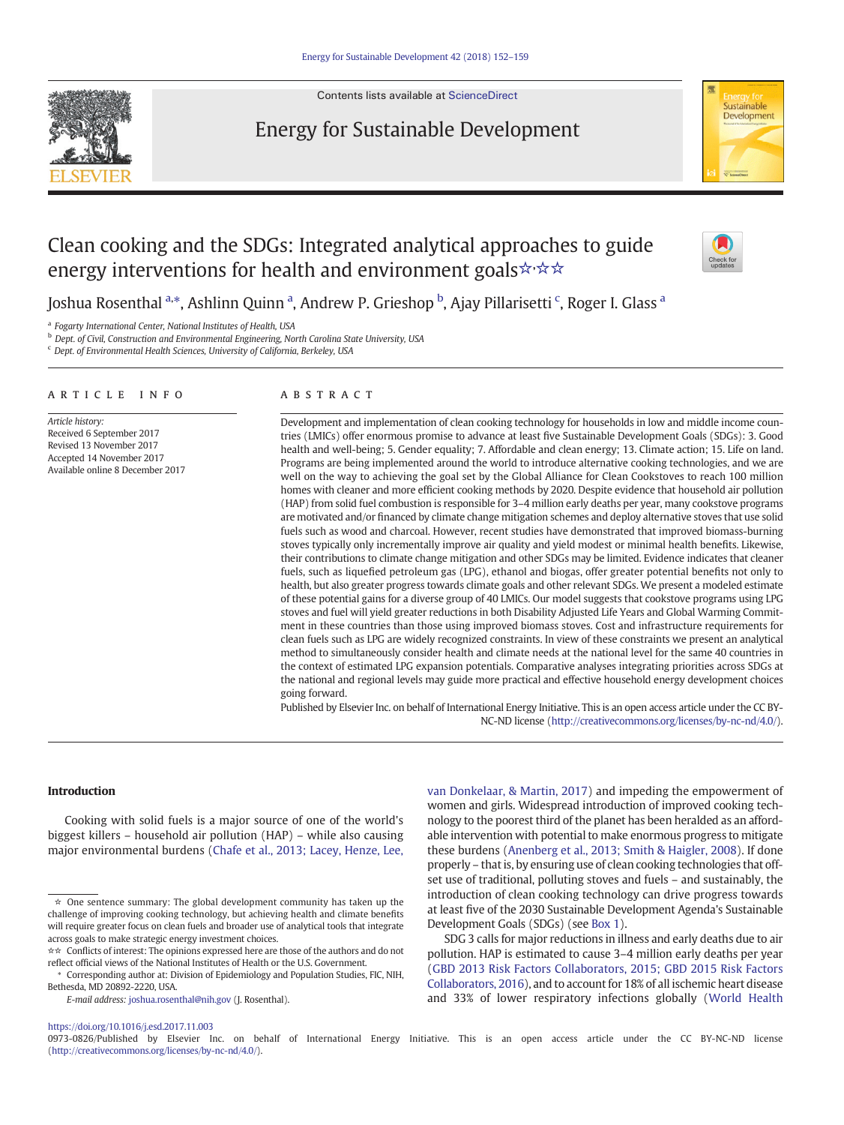Contents lists available at [ScienceDirect](http://www.sciencedirect.com/science/journal/09730826)





# Clean cooking and the SDGs: Integrated analytical approaches to guide energy interventions for health and environment goals☆☆☆



Joshua Rosenthal <sup>a,</sup>\*, Ashlinn Quinn <sup>a</sup>, Andrew P. Grieshop <sup>b</sup>, Ajay Pillarisetti <sup>c</sup>, Roger I. Glass <sup>a</sup>

<sup>a</sup> Fogarty International Center, National Institutes of Health, USA

b Dept. of Civil, Construction and Environmental Engineering, North Carolina State University, USA

<sup>c</sup> Dept. of Environmental Health Sciences, University of California, Berkeley, USA

#### article info abstract

Article history: Received 6 September 2017 Revised 13 November 2017 Accepted 14 November 2017 Available online 8 December 2017

Development and implementation of clean cooking technology for households in low and middle income countries (LMICs) offer enormous promise to advance at least five Sustainable Development Goals (SDGs): 3. Good health and well-being; 5. Gender equality; 7. Affordable and clean energy; 13. Climate action; 15. Life on land. Programs are being implemented around the world to introduce alternative cooking technologies, and we are well on the way to achieving the goal set by the Global Alliance for Clean Cookstoves to reach 100 million homes with cleaner and more efficient cooking methods by 2020. Despite evidence that household air pollution (HAP) from solid fuel combustion is responsible for 3–4 million early deaths per year, many cookstove programs are motivated and/or financed by climate change mitigation schemes and deploy alternative stoves that use solid fuels such as wood and charcoal. However, recent studies have demonstrated that improved biomass-burning stoves typically only incrementally improve air quality and yield modest or minimal health benefits. Likewise, their contributions to climate change mitigation and other SDGs may be limited. Evidence indicates that cleaner fuels, such as liquefied petroleum gas (LPG), ethanol and biogas, offer greater potential benefits not only to health, but also greater progress towards climate goals and other relevant SDGs. We present a modeled estimate of these potential gains for a diverse group of 40 LMICs. Our model suggests that cookstove programs using LPG stoves and fuel will yield greater reductions in both Disability Adjusted Life Years and Global Warming Commitment in these countries than those using improved biomass stoves. Cost and infrastructure requirements for clean fuels such as LPG are widely recognized constraints. In view of these constraints we present an analytical method to simultaneously consider health and climate needs at the national level for the same 40 countries in the context of estimated LPG expansion potentials. Comparative analyses integrating priorities across SDGs at the national and regional levels may guide more practical and effective household energy development choices going forward.

Published by Elsevier Inc. on behalf of International Energy Initiative. This is an open access article under the CC BY-NC-ND license [\(http://creativecommons.org/licenses/by-nc-nd/4.0/](http://creativecommons.org/licenses/by-nc-nd/4.0/)).

#### Introduction

Cooking with solid fuels is a major source of one of the world's biggest killers – household air pollution (HAP) – while also causing major environmental burdens [\(Chafe et al., 2013; Lacey, Henze, Lee,](#page-6-0)

E-mail address: [joshua.rosenthal@nih.gov](mailto:joshua.rosenthal@nih.gov) (J. Rosenthal).

[van Donkelaar, & Martin, 2017\)](#page-6-0) and impeding the empowerment of women and girls. Widespread introduction of improved cooking technology to the poorest third of the planet has been heralded as an affordable intervention with potential to make enormous progress to mitigate these burdens ([Anenberg et al., 2013; Smith & Haigler, 2008\)](#page-6-0). If done properly – that is, by ensuring use of clean cooking technologies that offset use of traditional, polluting stoves and fuels – and sustainably, the introduction of clean cooking technology can drive progress towards at least five of the 2030 Sustainable Development Agenda's Sustainable Development Goals (SDGs) (see [Box 1](#page-1-0)).

SDG 3 calls for major reductions in illness and early deaths due to air pollution. HAP is estimated to cause 3–4 million early deaths per year [\(GBD 2013 Risk Factors Collaborators, 2015; GBD 2015 Risk Factors](#page-6-0) [Collaborators, 2016\)](#page-6-0), and to account for 18% of all ischemic heart disease and 33% of lower respiratory infections globally [\(World Health](#page-7-0)

# <https://doi.org/10.1016/j.esd.2017.11.003>

0973-0826/Published by Elsevier Inc. on behalf of International Energy Initiative. This is an open access article under the CC BY-NC-ND license (<http://creativecommons.org/licenses/by-nc-nd/4.0/>).

<sup>☆</sup> One sentence summary: The global development community has taken up the challenge of improving cooking technology, but achieving health and climate benefits will require greater focus on clean fuels and broader use of analytical tools that integrate across goals to make strategic energy investment choices.

<sup>☆☆</sup> Conflicts of interest: The opinions expressed here are those of the authors and do not reflect official views of the National Institutes of Health or the U.S. Government.

<sup>⁎</sup> Corresponding author at: Division of Epidemiology and Population Studies, FIC, NIH, Bethesda, MD 20892-2220, USA.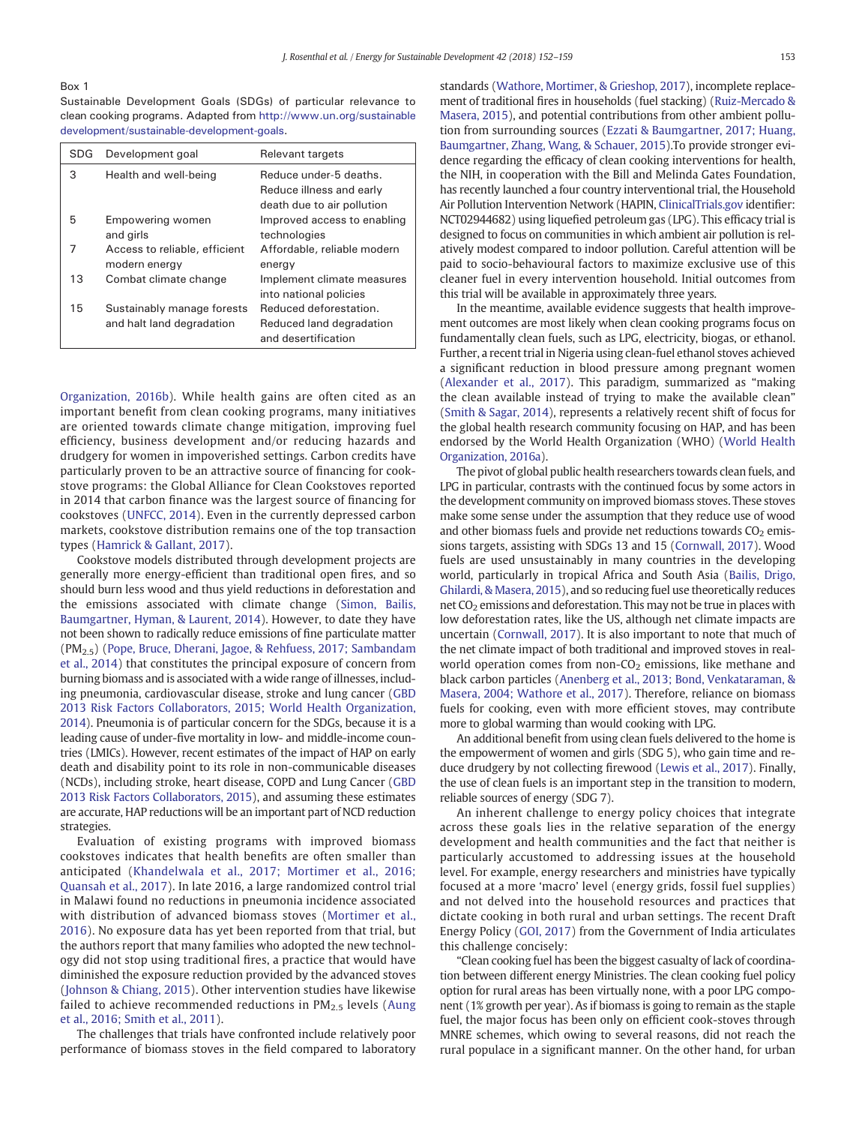# <span id="page-1-0"></span>Box 1

Sustainable Development Goals (SDGs) of particular relevance to clean cooking programs. Adapted from [http://www.un.org/sustainable](http://www.un.org/sustainabledevelopment/sustainable-development-goals) [development/sustainable-development-goals](http://www.un.org/sustainabledevelopment/sustainable-development-goals).

| SDG | Development goal                                        | Relevant targets                                                                 |  |
|-----|---------------------------------------------------------|----------------------------------------------------------------------------------|--|
| 3   | Health and well-being                                   | Reduce under-5 deaths.<br>Reduce illness and early<br>death due to air pollution |  |
| 5   | Empowering women<br>and girls                           | Improved access to enabling<br>technologies                                      |  |
| 7   | Access to reliable, efficient<br>modern energy          | Affordable, reliable modern<br>energy                                            |  |
| 13  | Combat climate change                                   | Implement climate measures<br>into national policies                             |  |
| 15  | Sustainably manage forests<br>and halt land degradation | Reduced deforestation.<br>Reduced land degradation<br>and desertification        |  |

[Organization, 2016b](#page-7-0)). While health gains are often cited as an important benefit from clean cooking programs, many initiatives are oriented towards climate change mitigation, improving fuel efficiency, business development and/or reducing hazards and drudgery for women in impoverished settings. Carbon credits have particularly proven to be an attractive source of financing for cookstove programs: the Global Alliance for Clean Cookstoves reported in 2014 that carbon finance was the largest source of financing for cookstoves ([UNFCC, 2014](#page-7-0)). Even in the currently depressed carbon markets, cookstove distribution remains one of the top transaction types [\(Hamrick & Gallant, 2017\)](#page-6-0).

Cookstove models distributed through development projects are generally more energy-efficient than traditional open fires, and so should burn less wood and thus yield reductions in deforestation and the emissions associated with climate change ([Simon, Bailis,](#page-7-0) [Baumgartner, Hyman, & Laurent, 2014](#page-7-0)). However, to date they have not been shown to radically reduce emissions of fine particulate matter (PM2.5) ([Pope, Bruce, Dherani, Jagoe, & Rehfuess, 2017; Sambandam](#page-6-0) [et al., 2014](#page-6-0)) that constitutes the principal exposure of concern from burning biomass and is associated with a wide range of illnesses, including pneumonia, cardiovascular disease, stroke and lung cancer ([GBD](#page-6-0) [2013 Risk Factors Collaborators, 2015; World Health Organization,](#page-6-0) [2014](#page-6-0)). Pneumonia is of particular concern for the SDGs, because it is a leading cause of under-five mortality in low- and middle-income countries (LMICs). However, recent estimates of the impact of HAP on early death and disability point to its role in non-communicable diseases (NCDs), including stroke, heart disease, COPD and Lung Cancer ([GBD](#page-6-0) [2013 Risk Factors Collaborators, 2015\)](#page-6-0), and assuming these estimates are accurate, HAP reductions will be an important part of NCD reduction strategies.

Evaluation of existing programs with improved biomass cookstoves indicates that health benefits are often smaller than anticipated ([Khandelwala et al., 2017; Mortimer et al., 2016;](#page-6-0) [Quansah et al., 2017](#page-6-0)). In late 2016, a large randomized control trial in Malawi found no reductions in pneumonia incidence associated with distribution of advanced biomass stoves ([Mortimer et al.,](#page-6-0) [2016](#page-6-0)). No exposure data has yet been reported from that trial, but the authors report that many families who adopted the new technology did not stop using traditional fires, a practice that would have diminished the exposure reduction provided by the advanced stoves [\(Johnson & Chiang, 2015\)](#page-6-0). Other intervention studies have likewise failed to achieve recommended reductions in  $PM_{2.5}$  levels ([Aung](#page-6-0) [et al., 2016; Smith et al., 2011](#page-6-0)).

The challenges that trials have confronted include relatively poor performance of biomass stoves in the field compared to laboratory standards [\(Wathore, Mortimer, & Grieshop, 2017\)](#page-7-0), incomplete replacement of traditional fires in households (fuel stacking) ([Ruiz-Mercado &](#page-6-0) [Masera, 2015\)](#page-6-0), and potential contributions from other ambient pollution from surrounding sources [\(Ezzati & Baumgartner, 2017; Huang,](#page-6-0) [Baumgartner, Zhang, Wang, & Schauer, 2015\)](#page-6-0).To provide stronger evidence regarding the efficacy of clean cooking interventions for health, the NIH, in cooperation with the Bill and Melinda Gates Foundation, has recently launched a four country interventional trial, the Household Air Pollution Intervention Network (HAPIN, [ClinicalTrials.gov](http://ClinicalTrials.gov) identifier: NCT02944682) using liquefied petroleum gas (LPG). This efficacy trial is designed to focus on communities in which ambient air pollution is relatively modest compared to indoor pollution. Careful attention will be paid to socio-behavioural factors to maximize exclusive use of this cleaner fuel in every intervention household. Initial outcomes from this trial will be available in approximately three years.

In the meantime, available evidence suggests that health improvement outcomes are most likely when clean cooking programs focus on fundamentally clean fuels, such as LPG, electricity, biogas, or ethanol. Further, a recent trial in Nigeria using clean-fuel ethanol stoves achieved a significant reduction in blood pressure among pregnant women [\(Alexander et al., 2017\)](#page-6-0). This paradigm, summarized as "making the clean available instead of trying to make the available clean" [\(Smith & Sagar, 2014](#page-7-0)), represents a relatively recent shift of focus for the global health research community focusing on HAP, and has been endorsed by the World Health Organization (WHO) ([World Health](#page-7-0) [Organization, 2016a\)](#page-7-0).

The pivot of global public health researchers towards clean fuels, and LPG in particular, contrasts with the continued focus by some actors in the development community on improved biomass stoves. These stoves make some sense under the assumption that they reduce use of wood and other biomass fuels and provide net reductions towards  $CO<sub>2</sub>$  emissions targets, assisting with SDGs 13 and 15 ([Cornwall, 2017\)](#page-6-0). Wood fuels are used unsustainably in many countries in the developing world, particularly in tropical Africa and South Asia ([Bailis, Drigo,](#page-6-0) [Ghilardi, & Masera, 2015](#page-6-0)), and so reducing fuel use theoretically reduces net  $CO<sub>2</sub>$  emissions and deforestation. This may not be true in places with low deforestation rates, like the US, although net climate impacts are uncertain [\(Cornwall, 2017\)](#page-6-0). It is also important to note that much of the net climate impact of both traditional and improved stoves in realworld operation comes from non- $CO<sub>2</sub>$  emissions, like methane and black carbon particles [\(Anenberg et al., 2013; Bond, Venkataraman, &](#page-6-0) [Masera, 2004; Wathore et al., 2017](#page-6-0)). Therefore, reliance on biomass fuels for cooking, even with more efficient stoves, may contribute more to global warming than would cooking with LPG.

An additional benefit from using clean fuels delivered to the home is the empowerment of women and girls (SDG 5), who gain time and reduce drudgery by not collecting firewood [\(Lewis et al., 2017](#page-6-0)). Finally, the use of clean fuels is an important step in the transition to modern, reliable sources of energy (SDG 7).

An inherent challenge to energy policy choices that integrate across these goals lies in the relative separation of the energy development and health communities and the fact that neither is particularly accustomed to addressing issues at the household level. For example, energy researchers and ministries have typically focused at a more 'macro' level (energy grids, fossil fuel supplies) and not delved into the household resources and practices that dictate cooking in both rural and urban settings. The recent Draft Energy Policy ([GOI, 2017](#page-6-0)) from the Government of India articulates this challenge concisely:

"Clean cooking fuel has been the biggest casualty of lack of coordination between different energy Ministries. The clean cooking fuel policy option for rural areas has been virtually none, with a poor LPG component (1% growth per year). As if biomass is going to remain as the staple fuel, the major focus has been only on efficient cook-stoves through MNRE schemes, which owing to several reasons, did not reach the rural populace in a significant manner. On the other hand, for urban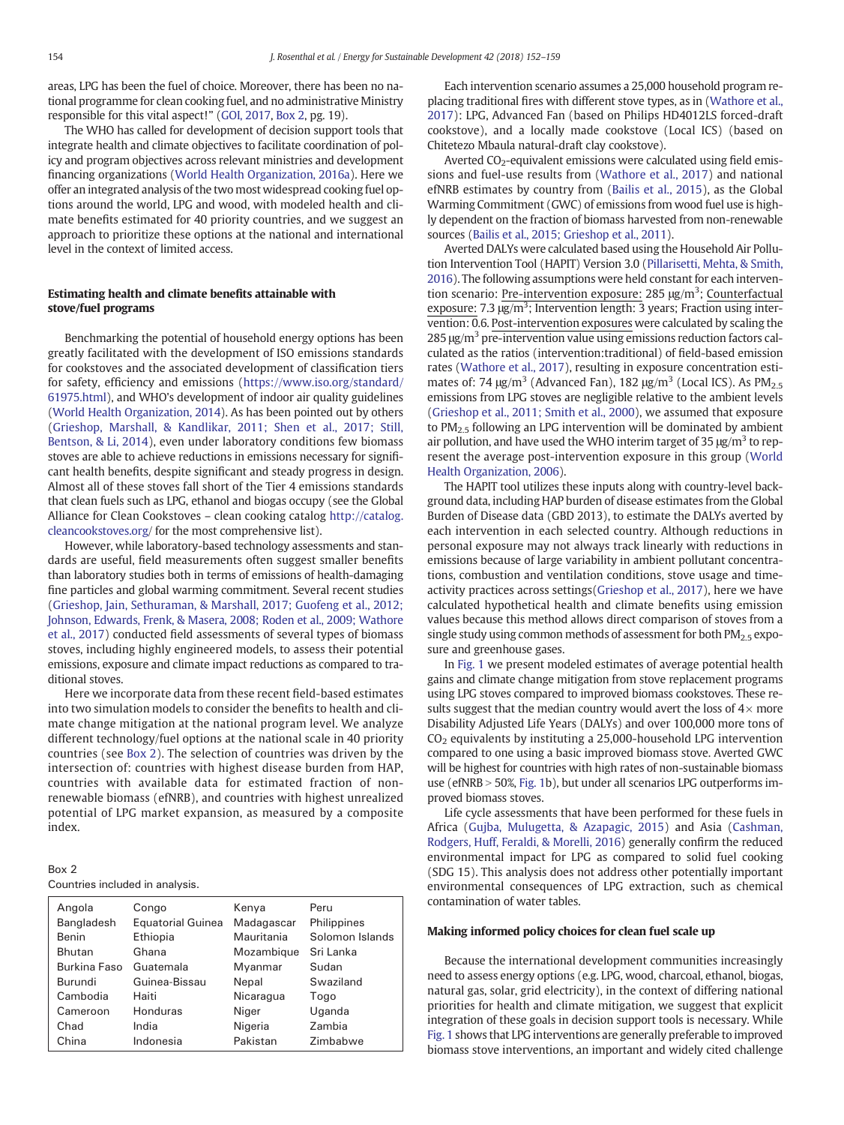areas, LPG has been the fuel of choice. Moreover, there has been no national programme for clean cooking fuel, and no administrative Ministry responsible for this vital aspect!" [\(GOI, 2017](#page-6-0), Box 2, pg. 19).

The WHO has called for development of decision support tools that integrate health and climate objectives to facilitate coordination of policy and program objectives across relevant ministries and development financing organizations ([World Health Organization, 2016a](#page-7-0)). Here we offer an integrated analysis of the two most widespread cooking fuel options around the world, LPG and wood, with modeled health and climate benefits estimated for 40 priority countries, and we suggest an approach to prioritize these options at the national and international level in the context of limited access.

# Estimating health and climate benefits attainable with stove/fuel programs

Benchmarking the potential of household energy options has been greatly facilitated with the development of ISO emissions standards for cookstoves and the associated development of classification tiers for safety, efficiency and emissions ([https://www.iso.org/standard/](https://www.iso.org/standard/61975.html) [61975.html](https://www.iso.org/standard/61975.html)), and WHO's development of indoor air quality guidelines [\(World Health Organization, 2014\)](#page-7-0). As has been pointed out by others [\(Grieshop, Marshall, & Kandlikar, 2011; Shen et al., 2017; Still,](#page-6-0) [Bentson, & Li, 2014\)](#page-6-0), even under laboratory conditions few biomass stoves are able to achieve reductions in emissions necessary for significant health benefits, despite significant and steady progress in design. Almost all of these stoves fall short of the Tier 4 emissions standards that clean fuels such as LPG, ethanol and biogas occupy (see the Global Alliance for Clean Cookstoves – clean cooking catalog [http://catalog.](http://catalog.cleancookstoves.org) [cleancookstoves.org/](http://catalog.cleancookstoves.org) for the most comprehensive list).

However, while laboratory-based technology assessments and standards are useful, field measurements often suggest smaller benefits than laboratory studies both in terms of emissions of health-damaging fine particles and global warming commitment. Several recent studies [\(Grieshop, Jain, Sethuraman, & Marshall, 2017; Guofeng et al., 2012;](#page-6-0) [Johnson, Edwards, Frenk, & Masera, 2008; Roden et al., 2009; Wathore](#page-6-0) [et al., 2017\)](#page-6-0) conducted field assessments of several types of biomass stoves, including highly engineered models, to assess their potential emissions, exposure and climate impact reductions as compared to traditional stoves.

Here we incorporate data from these recent field-based estimates into two simulation models to consider the benefits to health and climate change mitigation at the national program level. We analyze different technology/fuel options at the national scale in 40 priority countries (see Box 2). The selection of countries was driven by the intersection of: countries with highest disease burden from HAP, countries with available data for estimated fraction of nonrenewable biomass (efNRB), and countries with highest unrealized potential of LPG market expansion, as measured by a composite index.

| Box 2                           |  |  |
|---------------------------------|--|--|
| Countries included in analysis. |  |  |

| Angola        | Congo                    | Kenya      | Peru            |
|---------------|--------------------------|------------|-----------------|
| Bangladesh    | <b>Equatorial Guinea</b> | Madagascar | Philippines     |
| <b>Benin</b>  | Ethiopia                 | Mauritania | Solomon Islands |
| <b>Bhutan</b> | Ghana                    | Mozambique | Sri Lanka       |
| Burkina Faso  | Guatemala                | Myanmar    | Sudan           |
| Burundi       | Guinea-Bissau            | Nepal      | Swaziland       |
| Cambodia      | Haiti                    | Nicaragua  | Togo            |
| Cameroon      | Honduras                 | Niger      | Uganda          |
| Chad          | India                    | Nigeria    | Zambia          |
| China         | Indonesia                | Pakistan   | Zimbabwe        |

Each intervention scenario assumes a 25,000 household program replacing traditional fires with different stove types, as in [\(Wathore et al.,](#page-7-0) [2017](#page-7-0)): LPG, Advanced Fan (based on Philips HD4012LS forced-draft cookstove), and a locally made cookstove (Local ICS) (based on Chitetezo Mbaula natural-draft clay cookstove).

Averted  $CO_2$ -equivalent emissions were calculated using field emissions and fuel-use results from ([Wathore et al., 2017\)](#page-7-0) and national efNRB estimates by country from [\(Bailis et al., 2015\)](#page-6-0), as the Global Warming Commitment (GWC) of emissions from wood fuel use is highly dependent on the fraction of biomass harvested from non-renewable sources ([Bailis et al., 2015; Grieshop et al., 2011\)](#page-6-0).

Averted DALYs were calculated based using the Household Air Pollution Intervention Tool (HAPIT) Version 3.0 ([Pillarisetti, Mehta, & Smith,](#page-6-0) [2016\)](#page-6-0). The following assumptions were held constant for each intervention scenario: Pre-intervention exposure: 285 μg/m<sup>3</sup>; Counterfactual exposure:  $7.3 \mu g/m^3$ ; Intervention length: 3 years; Fraction using intervention: 0.6. Post-intervention exposures were calculated by scaling the  $285 \mu g/m^3$  pre-intervention value using emissions reduction factors calculated as the ratios (intervention:traditional) of field-based emission rates [\(Wathore et al., 2017](#page-7-0)), resulting in exposure concentration estimates of: 74  $\mu$ g/m<sup>3</sup> (Advanced Fan), 182  $\mu$ g/m<sup>3</sup> (Local ICS). As PM<sub>2.5</sub> emissions from LPG stoves are negligible relative to the ambient levels [\(Grieshop et al., 2011; Smith et al., 2000\)](#page-6-0), we assumed that exposure to  $PM<sub>2</sub>$ <sub>5</sub> following an LPG intervention will be dominated by ambient air pollution, and have used the WHO interim target of 35  $\mu$ g/m<sup>3</sup> to represent the average post-intervention exposure in this group ([World](#page-7-0) [Health Organization, 2006\)](#page-7-0).

The HAPIT tool utilizes these inputs along with country-level background data, including HAP burden of disease estimates from the Global Burden of Disease data (GBD 2013), to estimate the DALYs averted by each intervention in each selected country. Although reductions in personal exposure may not always track linearly with reductions in emissions because of large variability in ambient pollutant concentrations, combustion and ventilation conditions, stove usage and timeactivity practices across settings([Grieshop et al., 2017](#page-6-0)), here we have calculated hypothetical health and climate benefits using emission values because this method allows direct comparison of stoves from a single study using common methods of assessment for both  $PM<sub>2.5</sub>$  exposure and greenhouse gases.

In [Fig. 1](#page-3-0) we present modeled estimates of average potential health gains and climate change mitigation from stove replacement programs using LPG stoves compared to improved biomass cookstoves. These results suggest that the median country would avert the loss of  $4\times$  more Disability Adjusted Life Years (DALYs) and over 100,000 more tons of  $CO<sub>2</sub>$  equivalents by instituting a 25,000-household LPG intervention compared to one using a basic improved biomass stove. Averted GWC will be highest for countries with high rates of non-sustainable biomass use (efNRB > 50%, [Fig. 1b](#page-3-0)), but under all scenarios LPG outperforms improved biomass stoves.

Life cycle assessments that have been performed for these fuels in Africa ([Gujba, Mulugetta, & Azapagic, 2015\)](#page-6-0) and Asia [\(Cashman,](#page-6-0) [Rodgers, Huff, Feraldi, & Morelli, 2016](#page-6-0)) generally confirm the reduced environmental impact for LPG as compared to solid fuel cooking (SDG 15). This analysis does not address other potentially important environmental consequences of LPG extraction, such as chemical contamination of water tables.

### Making informed policy choices for clean fuel scale up

Because the international development communities increasingly need to assess energy options (e.g. LPG, wood, charcoal, ethanol, biogas, natural gas, solar, grid electricity), in the context of differing national priorities for health and climate mitigation, we suggest that explicit integration of these goals in decision support tools is necessary. While [Fig. 1](#page-3-0) shows that LPG interventions are generally preferable to improved biomass stove interventions, an important and widely cited challenge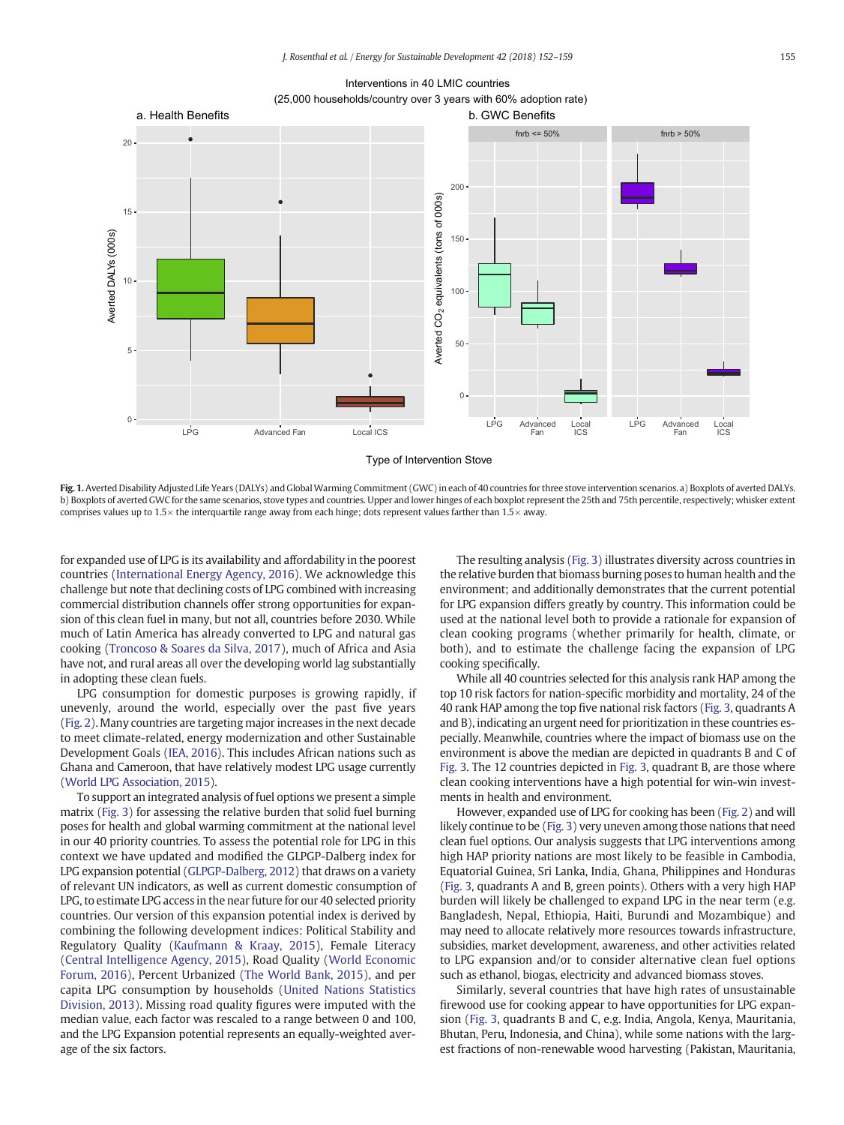Interventions in 40 LMIC countries  [\(25,000 households/country over 3 years with 60% adoption rate\)](Image of Fig. 1)

<span id="page-3-0"></span>

Type of Intervention Stove

Fig. 1. Averted Disability Adjusted Life Years (DALYs) and Global Warming Commitment (GWC) in each of 40 countries for three stove intervention scenarios, a) Boxplots of averted DALYs. b) Boxplots of averted GWC for the same scenarios, stove types and countries. Upper and lower hinges of each boxplot represent the 25th and 75th percentile, respectively; whisker extent comprises values up to  $1.5\times$  the interquartile range away from each hinge; dots represent values farther than  $1.5\times$  away.

for expanded use of LPG is its availability and affordability in the poorest countries [\(International Energy Agency, 2016\)](#page-6-0). We acknowledge this challenge but note that declining costs of LPG combined with increasing commercial distribution channels offer strong opportunities for expansion of this clean fuel in many, but not all, countries before 2030. While much of Latin America has already converted to LPG and natural gas cooking [\(Troncoso & Soares da Silva, 2017](#page-7-0)), much of Africa and Asia have not, and rural areas all over the developing world lag substantially in adopting these clean fuels.

LPG consumption for domestic purposes is growing rapidly, if unevenly, around the world, especially over the past five years [\(Fig. 2\)](#page-4-0). Many countries are targeting major increases in the next decade to meet climate-related, energy modernization and other Sustainable Development Goals ([IEA, 2016](#page-6-0)). This includes African nations such as Ghana and Cameroon, that have relatively modest LPG usage currently [\(World LPG Association, 2015](#page-7-0)).

To support an integrated analysis of fuel options we present a simple matrix ([Fig. 3\)](#page-5-0) for assessing the relative burden that solid fuel burning poses for health and global warming commitment at the national level in our 40 priority countries. To assess the potential role for LPG in this context we have updated and modified the GLPGP-Dalberg index for LPG expansion potential ([GLPGP-Dalberg, 2012\)](#page-6-0) that draws on a variety of relevant UN indicators, as well as current domestic consumption of LPG, to estimate LPG access in the near future for our 40 selected priority countries. Our version of this expansion potential index is derived by combining the following development indices: Political Stability and Regulatory Quality ([Kaufmann & Kraay, 2015\)](#page-6-0), Female Literacy [\(Central Intelligence Agency, 2015](#page-6-0)), Road Quality ([World Economic](#page-7-0) [Forum, 2016\)](#page-7-0), Percent Urbanized ([The World Bank, 2015\)](#page-7-0), and per capita LPG consumption by households [\(United Nations Statistics](#page-7-0) [Division, 2013](#page-7-0)). Missing road quality figures were imputed with the median value, each factor was rescaled to a range between 0 and 100, and the LPG Expansion potential represents an equally-weighted average of the six factors.

The resulting analysis ([Fig. 3\)](#page-5-0) illustrates diversity across countries in the relative burden that biomass burning poses to human health and the environment; and additionally demonstrates that the current potential for LPG expansion differs greatly by country. This information could be used at the national level both to provide a rationale for expansion of clean cooking programs (whether primarily for health, climate, or both), and to estimate the challenge facing the expansion of LPG cooking specifically.

While all 40 countries selected for this analysis rank HAP among the top 10 risk factors for nation-specific morbidity and mortality, 24 of the 40 rank HAP among the top five national risk factors [\(Fig. 3,](#page-5-0) quadrants A and B), indicating an urgent need for prioritization in these countries especially. Meanwhile, countries where the impact of biomass use on the environment is above the median are depicted in quadrants B and C of [Fig. 3](#page-5-0). The 12 countries depicted in [Fig. 3](#page-5-0), quadrant B, are those where clean cooking interventions have a high potential for win-win investments in health and environment.

However, expanded use of LPG for cooking has been ([Fig. 2](#page-4-0)) and will likely continue to be [\(Fig. 3](#page-5-0)) very uneven among those nations that need clean fuel options. Our analysis suggests that LPG interventions among high HAP priority nations are most likely to be feasible in Cambodia, Equatorial Guinea, Sri Lanka, India, Ghana, Philippines and Honduras [\(Fig. 3,](#page-5-0) quadrants A and B, green points). Others with a very high HAP burden will likely be challenged to expand LPG in the near term (e.g. Bangladesh, Nepal, Ethiopia, Haiti, Burundi and Mozambique) and may need to allocate relatively more resources towards infrastructure, subsidies, market development, awareness, and other activities related to LPG expansion and/or to consider alternative clean fuel options such as ethanol, biogas, electricity and advanced biomass stoves.

Similarly, several countries that have high rates of unsustainable firewood use for cooking appear to have opportunities for LPG expansion ([Fig. 3,](#page-5-0) quadrants B and C, e.g. India, Angola, Kenya, Mauritania, Bhutan, Peru, Indonesia, and China), while some nations with the largest fractions of non-renewable wood harvesting (Pakistan, Mauritania,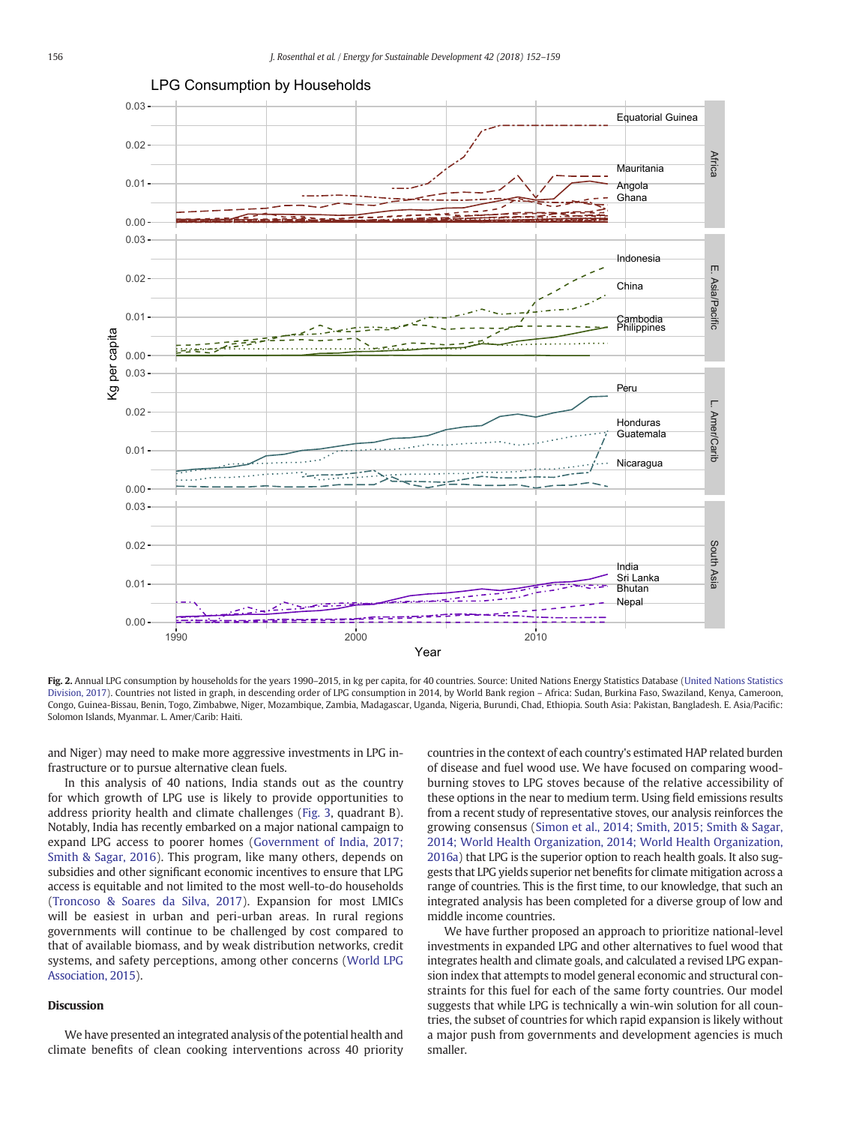<span id="page-4-0"></span>

### [LPG Consumption by Households](Image of Fig. 2)

Fig. 2. Annual LPG consumption by households for the years 1990-2015, in kg per capita, for 40 countries. Source: United Nations Energy Statistics Database [\(United Nations Statistics](#page-7-0) [Division, 2017](#page-7-0)). Countries not listed in graph, in descending order of LPG consumption in 2014, by World Bank region – Africa: Sudan, Burkina Faso, Swaziland, Kenya, Cameroon, Congo, Guinea-Bissau, Benin, Togo, Zimbabwe, Niger, Mozambique, Zambia, Madagascar, Uganda, Nigeria, Burundi, Chad, Ethiopia. South Asia: Pakistan, Bangladesh. E. Asia/Pacific: Solomon Islands, Myanmar. L. Amer/Carib: Haiti.

and Niger) may need to make more aggressive investments in LPG infrastructure or to pursue alternative clean fuels.

In this analysis of 40 nations, India stands out as the country for which growth of LPG use is likely to provide opportunities to address priority health and climate challenges [\(Fig. 3,](#page-5-0) quadrant B). Notably, India has recently embarked on a major national campaign to expand LPG access to poorer homes [\(Government of India, 2017;](#page-6-0) [Smith & Sagar, 2016](#page-6-0)). This program, like many others, depends on subsidies and other significant economic incentives to ensure that LPG access is equitable and not limited to the most well-to-do households [\(Troncoso & Soares da Silva, 2017](#page-7-0)). Expansion for most LMICs will be easiest in urban and peri-urban areas. In rural regions governments will continue to be challenged by cost compared to that of available biomass, and by weak distribution networks, credit systems, and safety perceptions, among other concerns ([World LPG](#page-7-0) [Association, 2015\)](#page-7-0).

# Discussion

We have presented an integrated analysis of the potential health and climate benefits of clean cooking interventions across 40 priority countries in the context of each country's estimated HAP related burden of disease and fuel wood use. We have focused on comparing woodburning stoves to LPG stoves because of the relative accessibility of these options in the near to medium term. Using field emissions results from a recent study of representative stoves, our analysis reinforces the growing consensus [\(Simon et al., 2014; Smith, 2015; Smith & Sagar,](#page-7-0) [2014; World Health Organization, 2014; World Health Organization,](#page-7-0) [2016a](#page-7-0)) that LPG is the superior option to reach health goals. It also suggests that LPG yields superior net benefits for climate mitigation across a range of countries. This is the first time, to our knowledge, that such an integrated analysis has been completed for a diverse group of low and middle income countries.

We have further proposed an approach to prioritize national-level investments in expanded LPG and other alternatives to fuel wood that integrates health and climate goals, and calculated a revised LPG expansion index that attempts to model general economic and structural constraints for this fuel for each of the same forty countries. Our model suggests that while LPG is technically a win-win solution for all countries, the subset of countries for which rapid expansion is likely without a major push from governments and development agencies is much smaller.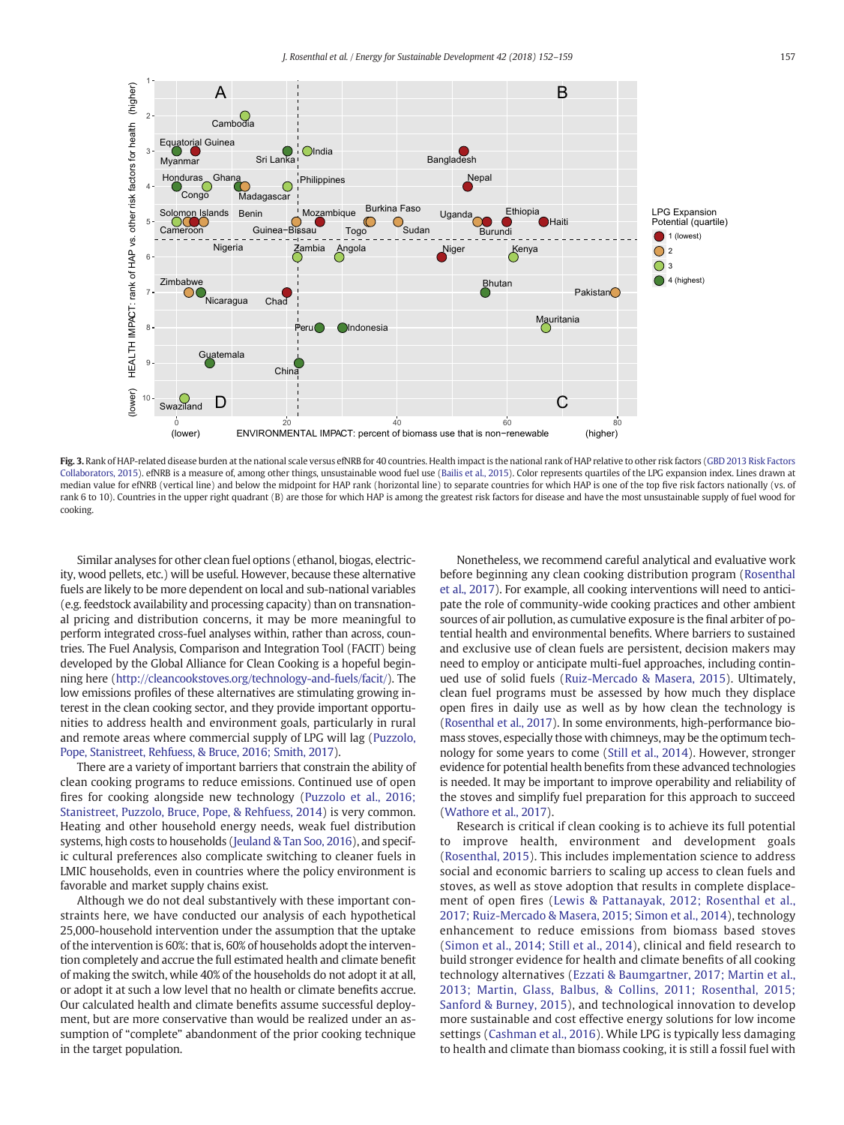<span id="page-5-0"></span>

Fig. 3. Rank of HAP-related disease burden at the national scale versus efNRB for 40 countries. Health impact is the national rank of HAP relative to other risk factors [\(GBD 2013 Risk Factors](#page-6-0) [Collaborators, 2015](#page-6-0)). efNRB is a measure of, among other things, unsustainable wood fuel use ([Bailis et al., 2015\)](#page-6-0). Color represents quartiles of the LPG expansion index. Lines drawn at median value for efNRB (vertical line) and below the midpoint for HAP rank (horizontal line) to separate countries for which HAP is one of the top five risk factors nationally (vs. of rank 6 to 10). Countries in the upper right quadrant (B) are those for which HAP is among the greatest risk factors for disease and have the most unsustainable supply of fuel wood for cooking.

Similar analyses for other clean fuel options (ethanol, biogas, electricity, wood pellets, etc.) will be useful. However, because these alternative fuels are likely to be more dependent on local and sub-national variables (e.g. feedstock availability and processing capacity) than on transnational pricing and distribution concerns, it may be more meaningful to perform integrated cross-fuel analyses within, rather than across, countries. The Fuel Analysis, Comparison and Integration Tool (FACIT) being developed by the Global Alliance for Clean Cooking is a hopeful beginning here ([http://cleancookstoves.org/technology-and-fuels/facit/](http://cleancookstoves.org/technology-and-fuels/facit)). The low emissions profiles of these alternatives are stimulating growing interest in the clean cooking sector, and they provide important opportunities to address health and environment goals, particularly in rural and remote areas where commercial supply of LPG will lag [\(Puzzolo,](#page-6-0) [Pope, Stanistreet, Rehfuess, & Bruce, 2016; Smith, 2017\)](#page-6-0).

There are a variety of important barriers that constrain the ability of clean cooking programs to reduce emissions. Continued use of open fires for cooking alongside new technology [\(Puzzolo et al., 2016;](#page-6-0) [Stanistreet, Puzzolo, Bruce, Pope, & Rehfuess, 2014](#page-6-0)) is very common. Heating and other household energy needs, weak fuel distribution systems, high costs to households [\(Jeuland & Tan Soo, 2016](#page-6-0)), and specific cultural preferences also complicate switching to cleaner fuels in LMIC households, even in countries where the policy environment is favorable and market supply chains exist.

Although we do not deal substantively with these important constraints here, we have conducted our analysis of each hypothetical 25,000-household intervention under the assumption that the uptake of the intervention is 60%: that is, 60% of households adopt the intervention completely and accrue the full estimated health and climate benefit of making the switch, while 40% of the households do not adopt it at all, or adopt it at such a low level that no health or climate benefits accrue. Our calculated health and climate benefits assume successful deployment, but are more conservative than would be realized under an assumption of "complete" abandonment of the prior cooking technique in the target population.

Nonetheless, we recommend careful analytical and evaluative work before beginning any clean cooking distribution program [\(Rosenthal](#page-6-0) [et al., 2017](#page-6-0)). For example, all cooking interventions will need to anticipate the role of community-wide cooking practices and other ambient sources of air pollution, as cumulative exposure is the final arbiter of potential health and environmental benefits. Where barriers to sustained and exclusive use of clean fuels are persistent, decision makers may need to employ or anticipate multi-fuel approaches, including continued use of solid fuels ([Ruiz-Mercado & Masera, 2015](#page-6-0)). Ultimately, clean fuel programs must be assessed by how much they displace open fires in daily use as well as by how clean the technology is [\(Rosenthal et al., 2017\)](#page-6-0). In some environments, high-performance biomass stoves, especially those with chimneys, may be the optimum technology for some years to come [\(Still et al., 2014\)](#page-7-0). However, stronger evidence for potential health benefits from these advanced technologies is needed. It may be important to improve operability and reliability of the stoves and simplify fuel preparation for this approach to succeed [\(Wathore et al., 2017\)](#page-7-0).

Research is critical if clean cooking is to achieve its full potential to improve health, environment and development goals [\(Rosenthal, 2015\)](#page-6-0). This includes implementation science to address social and economic barriers to scaling up access to clean fuels and stoves, as well as stove adoption that results in complete displacement of open fires ([Lewis & Pattanayak, 2012; Rosenthal et al.,](#page-6-0) [2017; Ruiz-Mercado & Masera, 2015; Simon et al., 2014](#page-6-0)), technology enhancement to reduce emissions from biomass based stoves [\(Simon et al., 2014; Still et al., 2014](#page-7-0)), clinical and field research to build stronger evidence for health and climate benefits of all cooking technology alternatives ([Ezzati & Baumgartner, 2017; Martin et al.,](#page-6-0) [2013; Martin, Glass, Balbus, & Collins, 2011; Rosenthal, 2015;](#page-6-0) [Sanford & Burney, 2015](#page-6-0)), and technological innovation to develop more sustainable and cost effective energy solutions for low income settings ([Cashman et al., 2016\)](#page-6-0). While LPG is typically less damaging to health and climate than biomass cooking, it is still a fossil fuel with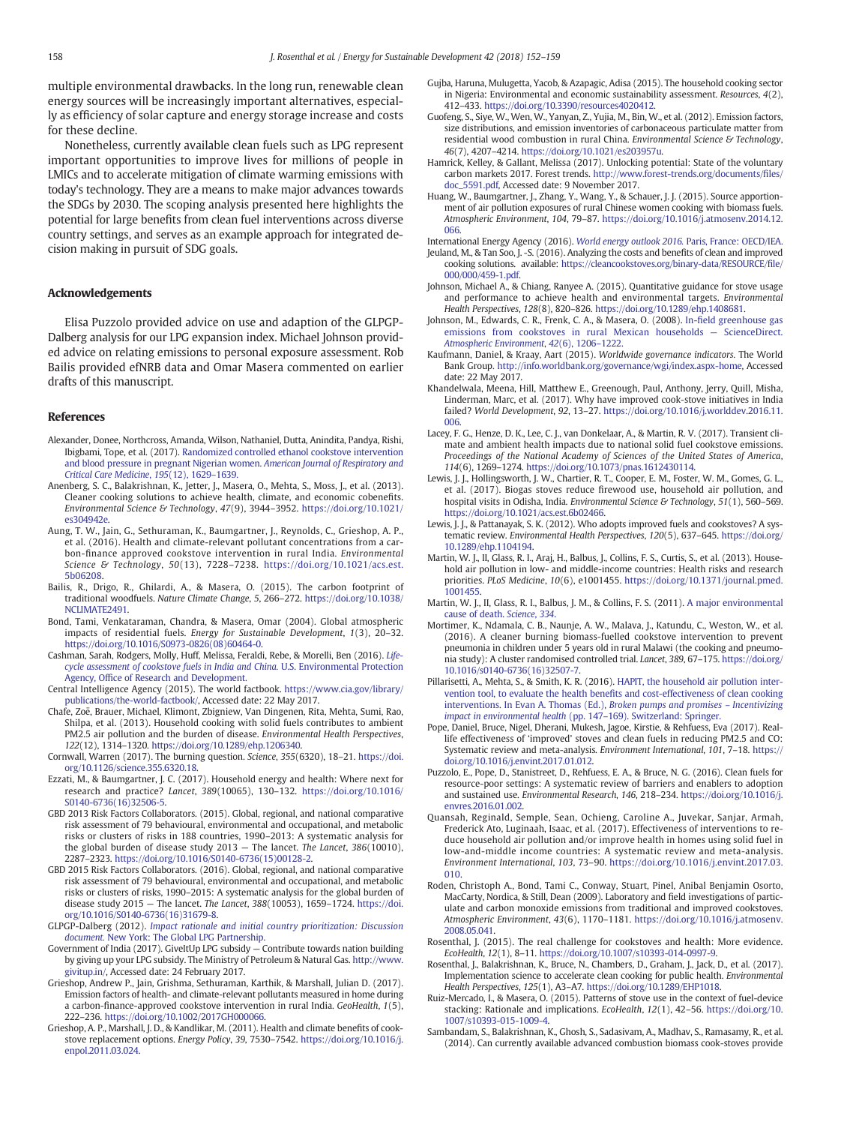<span id="page-6-0"></span>multiple environmental drawbacks. In the long run, renewable clean energy sources will be increasingly important alternatives, especially as efficiency of solar capture and energy storage increase and costs for these decline.

Nonetheless, currently available clean fuels such as LPG represent important opportunities to improve lives for millions of people in LMICs and to accelerate mitigation of climate warming emissions with today's technology. They are a means to make major advances towards the SDGs by 2030. The scoping analysis presented here highlights the potential for large benefits from clean fuel interventions across diverse country settings, and serves as an example approach for integrated decision making in pursuit of SDG goals.

## Acknowledgements

Elisa Puzzolo provided advice on use and adaption of the GLPGP-Dalberg analysis for our LPG expansion index. Michael Johnson provided advice on relating emissions to personal exposure assessment. Rob Bailis provided efNRB data and Omar Masera commented on earlier drafts of this manuscript.

#### References

- Alexander, Donee, Northcross, Amanda, Wilson, Nathaniel, Dutta, Anindita, Pandya, Rishi, Ibigbami, Tope, et al. (2017). [Randomized controlled ethanol cookstove intervention](http://refhub.elsevier.com/S0973-0826(17)30985-7/rf0005) [and blood pressure in pregnant Nigerian women.](http://refhub.elsevier.com/S0973-0826(17)30985-7/rf0005) American Journal of Respiratory and [Critical Care Medicine](http://refhub.elsevier.com/S0973-0826(17)30985-7/rf0005), 195(12), 1629–1639.
- Anenberg, S. C., Balakrishnan, K., Jetter, J., Masera, O., Mehta, S., Moss, J., et al. (2013). Cleaner cooking solutions to achieve health, climate, and economic cobenefits. Environmental Science & Technology, 47(9), 3944–3952. [https://doi.org/10.1021/](https://doi.org/10.1021/es304942e) [es304942e](https://doi.org/10.1021/es304942e).
- Aung, T. W., Jain, G., Sethuraman, K., Baumgartner, J., Reynolds, C., Grieshop, A. P., et al. (2016). Health and climate-relevant pollutant concentrations from a carbon-finance approved cookstove intervention in rural India. Environmental Science & Technology, 50(13), 7228–7238. [https://doi.org/10.1021/acs.est.](https://doi.org/10.1021/acs.est.5b06208) [5b06208.](https://doi.org/10.1021/acs.est.5b06208)
- Bailis, R., Drigo, R., Ghilardi, A., & Masera, O. (2015). The carbon footprint of traditional woodfuels. Nature Climate Change, 5, 266–272. [https://doi.org/10.1038/](https://doi.org/10.1038/NCLIMATE2491) [NCLIMATE2491.](https://doi.org/10.1038/NCLIMATE2491)
- Bond, Tami, Venkataraman, Chandra, & Masera, Omar (2004). Global atmospheric impacts of residential fuels. Energy for Sustainable Development, 1(3), 20–32. [https://doi.org/10.1016/S0973-0826\(08\)60464-0](https://doi.org/10.1016/S0973-0826(08)60464-0).
- Cashman, Sarah, Rodgers, Molly, Huff, Melissa, Feraldi, Rebe, & Morelli, Ben (2016). [Life](http://refhub.elsevier.com/S0973-0826(17)30985-7/rf0030)[cycle assessment of cookstove fuels in India and China.](http://refhub.elsevier.com/S0973-0826(17)30985-7/rf0030) U.S. Environmental Protection Agency, Offi[ce of Research and Development.](http://refhub.elsevier.com/S0973-0826(17)30985-7/rf0030)
- Central Intelligence Agency (2015). The world factbook. [https://www.cia.gov/library/](https://www.cia.gov/library/publications/the-world-factbook/) [publications/the-world-factbook/,](https://www.cia.gov/library/publications/the-world-factbook/) Accessed date: 22 May 2017.
- Chafe, Zoё, Brauer, Michael, Klimont, Zbigniew, Van Dingenen, Rita, Mehta, Sumi, Rao, Shilpa, et al. (2013). Household cooking with solid fuels contributes to ambient PM2.5 air pollution and the burden of disease. Environmental Health Perspectives, 122(12), 1314–1320. [https://doi.org/10.1289/ehp.1206340.](https://doi.org/10.1289/ehp.1206340)
- Cornwall, Warren (2017). The burning question. Science, 355(6320), 18–21. [https://doi.](https://doi.org/10.1126/science.355.6320.18) [org/10.1126/science.355.6320.18.](https://doi.org/10.1126/science.355.6320.18)
- Ezzati, M., & Baumgartner, J. C. (2017). Household energy and health: Where next for research and practice? Lancet, 389(10065), 130–132. [https://doi.org/10.1016/](https://doi.org/10.1016/S0140-6736(16)32506-5) [S0140-6736\(16\)32506-5](https://doi.org/10.1016/S0140-6736(16)32506-5)
- GBD 2013 Risk Factors Collaborators. (2015). Global, regional, and national comparative risk assessment of 79 behavioural, environmental and occupational, and metabolic risks or clusters of risks in 188 countries, 1990–2013: A systematic analysis for the global burden of disease study 2013 — The lancet. The Lancet, 386(10010), 2287–2323. [https://doi.org/10.1016/S0140-6736\(15\)00128-2](https://doi.org/10.1016/S0140-6736(15)00128-2).
- GBD 2015 Risk Factors Collaborators. (2016). Global, regional, and national comparative risk assessment of 79 behavioural, environmental and occupational, and metabolic risks or clusters of risks, 1990–2015: A systematic analysis for the global burden of disease study 2015 — The lancet. The Lancet, 388(10053), 1659–1724. [https://doi.](https://doi.org/10.1016/S0140-6736(16)31679-8) [org/10.1016/S0140-6736\(16\)31679-8.](https://doi.org/10.1016/S0140-6736(16)31679-8)
- GLPGP-Dalberg (2012). [Impact rationale and initial country prioritization: Discussion](http://refhub.elsevier.com/S0973-0826(17)30985-7/rf0065) document. [New York: The Global LPG Partnership.](http://refhub.elsevier.com/S0973-0826(17)30985-7/rf0065)
- Government of India (2017). GiveItUp LPG subsidy Contribute towards nation building by giving up your LPG subsidy. The Ministry of Petroleum & Natural Gas. [http://www.](http://www.givitup.in/) [givitup.in/,](http://www.givitup.in/) Accessed date: 24 February 2017.
- Grieshop, Andrew P., Jain, Grishma, Sethuraman, Karthik, & Marshall, Julian D. (2017). Emission factors of health- and climate-relevant pollutants measured in home during a carbon-finance-approved cookstove intervention in rural India. GeoHealth, 1(5), 222–236. <https://doi.org/10.1002/2017GH000066>.
- Grieshop, A. P., Marshall, J. D., & Kandlikar, M. (2011). Health and climate benefits of cookstove replacement options. Energy Policy, 39, 7530–7542. [https://doi.org/10.1016/j.](https://doi.org/10.1016/j.enpol.2011.03.024) [enpol.2011.03.024.](https://doi.org/10.1016/j.enpol.2011.03.024)
- Gujba, Haruna, Mulugetta, Yacob, & Azapagic, Adisa (2015). The household cooking sector in Nigeria: Environmental and economic sustainability assessment. Resources, 4(2), 412–433. [https://doi.org/10.3390/resources4020412.](https://doi.org/10.3390/resources4020412)
- Guofeng, S., Siye, W., Wen, W., Yanyan, Z., Yujia, M., Bin, W., et al. (2012). Emission factors, size distributions, and emission inventories of carbonaceous particulate matter from residential wood combustion in rural China. Environmental Science & Technology, 46(7), 4207–4214. [https://doi.org/10.1021/es203957u.](https://doi.org/10.1021/es203957u)
- Hamrick, Kelley, & Gallant, Melissa (2017). Unlocking potential: State of the voluntary carbon markets 2017. Forest trends. [http://www.forest-trends.org/documents/](http://www.forest-trends.org/documents/files/doc_5591.pdf)files/ [doc\\_5591.pdf,](http://www.forest-trends.org/documents/files/doc_5591.pdf) Accessed date: 9 November 2017.
- Huang, W., Baumgartner, J., Zhang, Y., Wang, Y., & Schauer, J. J. (2015). Source apportionment of air pollution exposures of rural Chinese women cooking with biomass fuels. Atmospheric Environment, 104, 79–87. [https://doi.org/10.1016/j.atmosenv.2014.12.](https://doi.org/10.1016/j.atmosenv.2014.12.066) [066](https://doi.org/10.1016/j.atmosenv.2014.12.066).
- International Energy Agency (2016). [World energy outlook 2016.](http://refhub.elsevier.com/S0973-0826(17)30985-7/rf0105) Paris, France: OECD/IEA. Jeuland, M., & Tan Soo, J. -S. (2016). Analyzing the costs and benefits of clean and improved
- cooking solutions. available: [https://cleancookstoves.org/binary-data/RESOURCE/](https://cleancookstoves.org/binary-data/RESOURCE/file/000/000/459-1.pdf)file/ [000/000/459-1.pdf](https://cleancookstoves.org/binary-data/RESOURCE/file/000/000/459-1.pdf). Johnson, Michael A., & Chiang, Ranyee A. (2015). Quantitative guidance for stove usage
- and performance to achieve health and environmental targets. Environmental Health Perspectives, 128(8), 820–826. [https://doi.org/10.1289/ehp.1408681.](https://doi.org/10.1289/ehp.1408681)
- Johnson, M., Edwards, C. R., Frenk, C. A., & Masera, O. (2008). In-fi[eld greenhouse gas](http://refhub.elsevier.com/S0973-0826(17)30985-7/rf0120) [emissions from cookstoves in rural Mexican households](http://refhub.elsevier.com/S0973-0826(17)30985-7/rf0120) — ScienceDirect. [Atmospheric Environment](http://refhub.elsevier.com/S0973-0826(17)30985-7/rf0120), 42(6), 1206–1222.
- Kaufmann, Daniel, & Kraay, Aart (2015). Worldwide governance indicators. The World Bank Group[. http://info.worldbank.org/governance/wgi/index.aspx-home,](http://info.worldbank.org/governance/wgi/index.aspx-home) Accessed date: 22 May 2017.
- Khandelwala, Meena, Hill, Matthew E., Greenough, Paul, Anthony, Jerry, Quill, Misha, Linderman, Marc, et al. (2017). Why have improved cook-stove initiatives in India failed? World Development, 92, 13–27. [https://doi.org/10.1016/j.worlddev.2016.11.](https://doi.org/10.1016/j.worlddev.2016.11.006) [006](https://doi.org/10.1016/j.worlddev.2016.11.006).
- Lacey, F. G., Henze, D. K., Lee, C. J., van Donkelaar, A., & Martin, R. V. (2017). Transient climate and ambient health impacts due to national solid fuel cookstove emissions. Proceedings of the National Academy of Sciences of the United States of America, 114(6), 1269–1274. [https://doi.org/10.1073/pnas.1612430114.](https://doi.org/10.1073/pnas.1612430114)
- Lewis, J. J., Hollingsworth, J. W., Chartier, R. T., Cooper, E. M., Foster, W. M., Gomes, G. L., et al. (2017). Biogas stoves reduce firewood use, household air pollution, and hospital visits in Odisha, India. Environmental Science & Technology, 51(1), 560-569. <https://doi.org/10.1021/acs.est.6b02466>.
- Lewis, J. J., & Pattanayak, S. K. (2012). Who adopts improved fuels and cookstoves? A systematic review. Environmental Health Perspectives, 120(5), 637–645. [https://doi.org/](https://doi.org/10.1289/ehp.1104194) [10.1289/ehp.1104194.](https://doi.org/10.1289/ehp.1104194)
- Martin, W. J., II, Glass, R. I., Araj, H., Balbus, J., Collins, F. S., Curtis, S., et al. (2013). Household air pollution in low- and middle-income countries: Health risks and research priorities. PLoS Medicine, 10(6), e1001455. [https://doi.org/10.1371/journal.pmed.](https://doi.org/10.1371/journal.pmed.1001455) [1001455.](https://doi.org/10.1371/journal.pmed.1001455)
- Martin, W. J., II, Glass, R. I., Balbus, J. M., & Collins, F. S. (2011). [A major environmental](http://refhub.elsevier.com/S0973-0826(17)30985-7/rf0155) [cause of death.](http://refhub.elsevier.com/S0973-0826(17)30985-7/rf0155) Science, 334.
- Mortimer, K., Ndamala, C. B., Naunje, A. W., Malava, J., Katundu, C., Weston, W., et al. (2016). A cleaner burning biomass-fuelled cookstove intervention to prevent pneumonia in children under 5 years old in rural Malawi (the cooking and pneumonia study): A cluster randomised controlled trial. Lancet, 389, 67–175. [https://doi.org/](https://doi.org/10.1016/s0140-6736(16)32507-7) [10.1016/s0140-6736\(16\)32507-7.](https://doi.org/10.1016/s0140-6736(16)32507-7)
- Pillarisetti, A., Mehta, S., & Smith, K. R. (2016). [HAPIT, the household air pollution inter](http://refhub.elsevier.com/S0973-0826(17)30985-7/rf0165)vention tool, to evaluate the health benefi[ts and cost-effectiveness of clean cooking](http://refhub.elsevier.com/S0973-0826(17)30985-7/rf0165) [interventions. In Evan A. Thomas \(Ed.\),](http://refhub.elsevier.com/S0973-0826(17)30985-7/rf0165) Broken pumps and promises – Incentivizing [impact in environmental health](http://refhub.elsevier.com/S0973-0826(17)30985-7/rf0165) (pp. 147–169). Switzerland: Springer.
- Pope, Daniel, Bruce, Nigel, Dherani, Mukesh, Jagoe, Kirstie, & Rehfuess, Eva (2017). Reallife effectiveness of 'improved' stoves and clean fuels in reducing PM2.5 and CO: Systematic review and meta-analysis. Environment International, 101, 7–18. [https://](https://doi.org/10.1016/j.envint.2017.01.012) [doi.org/10.1016/j.envint.2017.01.012.](https://doi.org/10.1016/j.envint.2017.01.012)
- Puzzolo, E., Pope, D., Stanistreet, D., Rehfuess, E. A., & Bruce, N. G. (2016). Clean fuels for resource-poor settings: A systematic review of barriers and enablers to adoption and sustained use. Environmental Research, 146, 218–234. [https://doi.org/10.1016/j.](https://doi.org/10.1016/j.envres.2016.01.002) [envres.2016.01.002.](https://doi.org/10.1016/j.envres.2016.01.002)
- Quansah, Reginald, Semple, Sean, Ochieng, Caroline A., Juvekar, Sanjar, Armah, Frederick Ato, Luginaah, Isaac, et al. (2017). Effectiveness of interventions to reduce household air pollution and/or improve health in homes using solid fuel in low-and-middle income countries: A systematic review and meta-analysis. Environment International, 103, 73–90. [https://doi.org/10.1016/j.envint.2017.03.](https://doi.org/10.1016/j.envint.2017.03.010) [010.](https://doi.org/10.1016/j.envint.2017.03.010)
- Roden, Christoph A., Bond, Tami C., Conway, Stuart, Pinel, Anibal Benjamin Osorto, MacCarty, Nordica, & Still, Dean (2009). Laboratory and field investigations of particulate and carbon monoxide emissions from traditional and improved cookstoves. Atmospheric Environment, 43(6), 1170–1181. [https://doi.org/10.1016/j.atmosenv.](https://doi.org/10.1016/j.atmosenv.2008.05.041) [2008.05.041](https://doi.org/10.1016/j.atmosenv.2008.05.041).
- Rosenthal, J. (2015). The real challenge for cookstoves and health: More evidence. EcoHealth, 12(1), 8–11. <https://doi.org/10.1007/s10393-014-0997-9>.
- Rosenthal, J., Balakrishnan, K., Bruce, N., Chambers, D., Graham, J., Jack, D., et al. (2017). Implementation science to accelerate clean cooking for public health. Environmental Health Perspectives, 125(1), A3–A7. [https://doi.org/10.1289/EHP1018.](https://doi.org/10.1289/EHP1018)
- Ruiz-Mercado, I., & Masera, O. (2015). Patterns of stove use in the context of fuel-device stacking: Rationale and implications. EcoHealth, 12(1), 42–56. [https://doi.org/10.](https://doi.org/10.1007/s10393-015-1009-4) [1007/s10393-015-1009-4.](https://doi.org/10.1007/s10393-015-1009-4)
- Sambandam, S., Balakrishnan, K., Ghosh, S., Sadasivam, A., Madhav, S., Ramasamy, R., et al. (2014). Can currently available advanced combustion biomass cook-stoves provide